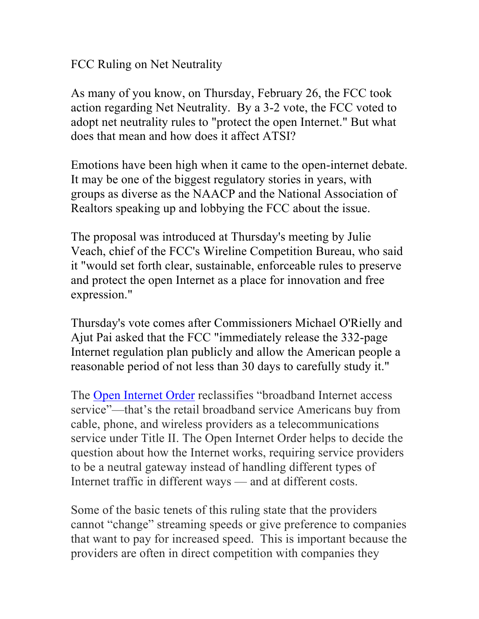FCC Ruling on Net Neutrality

As many of you know, on Thursday, February 26, the FCC took action regarding Net Neutrality. By a 3-2 vote, the FCC voted to adopt net neutrality rules to "protect the open Internet." But what does that mean and how does it affect ATSI?

Emotions have been high when it came to the open-internet debate. It may be one of the biggest regulatory stories in years, with groups as diverse as the NAACP and the National Association of Realtors speaking up and lobbying the FCC about the issue.

The proposal was introduced at Thursday's meeting by Julie Veach, chief of the FCC's Wireline Competition Bureau, who said it "would set forth clear, sustainable, enforceable rules to preserve and protect the open Internet as a place for innovation and free expression."

Thursday's vote comes after Commissioners Michael O'Rielly and Ajut Pai asked that the FCC "immediately release the 332-page Internet regulation plan publicly and allow the American people a reasonable period of not less than 30 days to carefully study it."

The Open Internet Order reclassifies "broadband Internet access service"—that's the retail broadband service Americans buy from cable, phone, and wireless providers as a telecommunications service under Title II. The Open Internet Order helps to decide the question about how the Internet works, requiring service providers to be a neutral gateway instead of handling different types of Internet traffic in different ways — and at different costs.

Some of the basic tenets of this ruling state that the providers cannot "change" streaming speeds or give preference to companies that want to pay for increased speed. This is important because the providers are often in direct competition with companies they